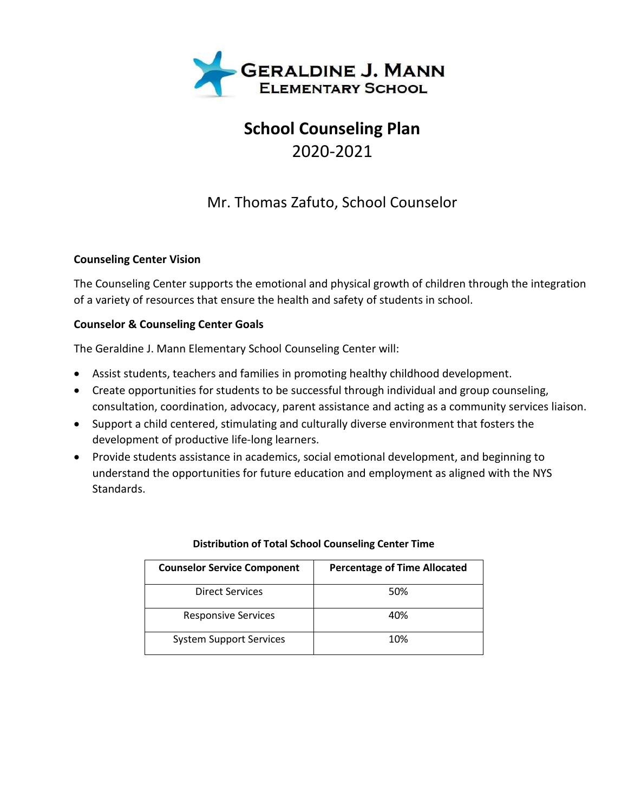

# **School Counseling Plan** 2020-2021

## Mr. Thomas Zafuto, School Counselor

### **Counseling Center Vision**

The Counseling Center supports the emotional and physical growth of children through the integration of a variety of resources that ensure the health and safety of students in school.

## **Counselor & Counseling Center Goals**

The Geraldine J. Mann Elementary School Counseling Center will:

- Assist students, teachers and families in promoting healthy childhood development.
- Create opportunities for students to be successful through individual and group counseling, consultation, coordination, advocacy, parent assistance and acting as a community services liaison.
- Support a child centered, stimulating and culturally diverse environment that fosters the development of productive life-long learners.
- Provide students assistance in academics, social emotional development, and beginning to understand the opportunities for future education and employment as aligned with the NYS Standards.

| <b>Counselor Service Component</b> | <b>Percentage of Time Allocated</b> |
|------------------------------------|-------------------------------------|
| <b>Direct Services</b>             | 50%                                 |
| <b>Responsive Services</b>         | 40%                                 |
| <b>System Support Services</b>     | 10%                                 |

### **Distribution of Total School Counseling Center Time**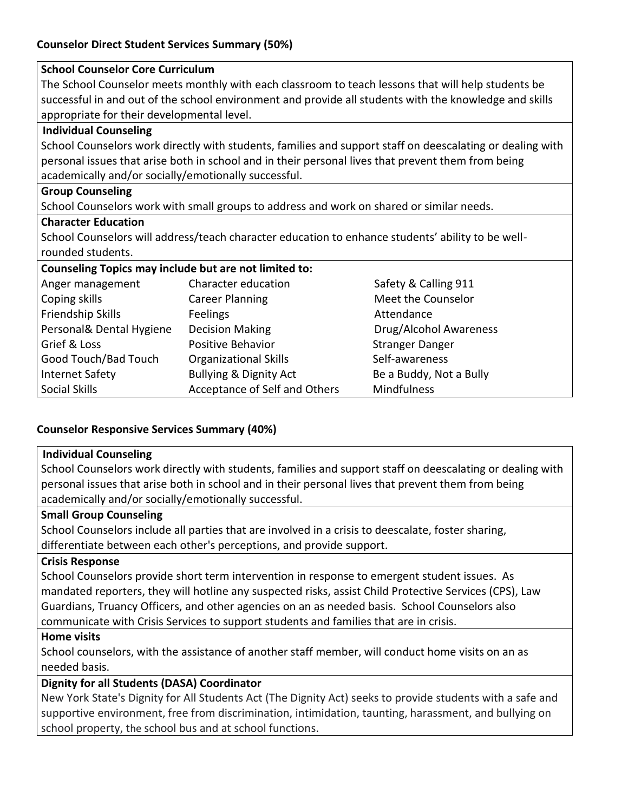### **Counselor Direct Student Services Summary (50%)**

## **School Counselor Core Curriculum**  The School Counselor meets monthly with each classroom to teach lessons that will help students be successful in and out of the school environment and provide all students with the knowledge and skills appropriate for their developmental level. **Individual Counseling** School Counselors work directly with students, families and support staff on deescalating or dealing with personal issues that arise both in school and in their personal lives that prevent them from being academically and/or socially/emotionally successful. **Group Counseling** School Counselors work with small groups to address and work on shared or similar needs. **Character Education** School Counselors will address/teach character education to enhance students' ability to be wellrounded students. **Counseling Topics may include but are not limited to:**  Anger management Character education Safety & Calling 911 Coping skills **Career Planning Career Planning** Meet the Counselor Friendship Skills **Feelings** Feelings **Attendance** Personal& Dental Hygiene Decision Making Drug/Alcohol Awareness Grief & Loss **Positive Behavior** Stranger Danger Danger Good Touch/Bad Touch Crganizational Skills Self-awareness Internet Safety **Bullying & Dignity Act** Be a Buddy, Not a Bully Social Skills **Acceptance of Self and Others** Mindfulness

## **Counselor Responsive Services Summary (40%)**

### **Individual Counseling**

School Counselors work directly with students, families and support staff on deescalating or dealing with personal issues that arise both in school and in their personal lives that prevent them from being academically and/or socially/emotionally successful.

#### **Small Group Counseling**

School Counselors include all parties that are involved in a crisis to deescalate, foster sharing, differentiate between each other's perceptions, and provide support.

#### **Crisis Response**

School Counselors provide short term intervention in response to emergent student issues. As mandated reporters, they will hotline any suspected risks, assist Child Protective Services (CPS), Law Guardians, Truancy Officers, and other agencies on an as needed basis. School Counselors also communicate with Crisis Services to support students and families that are in crisis.

#### **Home visits**

School counselors, with the assistance of another staff member, will conduct home visits on an as needed basis.

### **Dignity for all Students (DASA) Coordinator**

New York State's Dignity for All Students Act (The Dignity Act) seeks to provide students with a safe and supportive environment, free from discrimination, intimidation, taunting, harassment, and bullying on school property, the school bus and at school functions.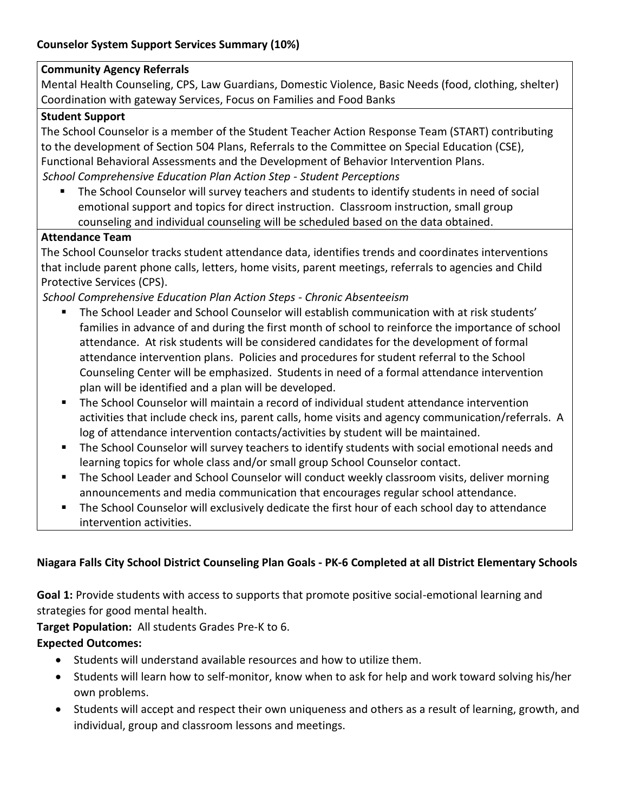## **Community Agency Referrals**

Mental Health Counseling, CPS, Law Guardians, Domestic Violence, Basic Needs (food, clothing, shelter) Coordination with gateway Services, Focus on Families and Food Banks

#### **Student Support**

The School Counselor is a member of the Student Teacher Action Response Team (START) contributing to the development of Section 504 Plans, Referrals to the Committee on Special Education (CSE), Functional Behavioral Assessments and the Development of Behavior Intervention Plans. *School Comprehensive Education Plan Action Step - Student Perceptions*

■ The School Counselor will survey teachers and students to identify students in need of social emotional support and topics for direct instruction. Classroom instruction, small group counseling and individual counseling will be scheduled based on the data obtained.

### **Attendance Team**

The School Counselor tracks student attendance data, identifies trends and coordinates interventions that include parent phone calls, letters, home visits, parent meetings, referrals to agencies and Child Protective Services (CPS).

*School Comprehensive Education Plan Action Steps - Chronic Absenteeism* 

- The School Leader and School Counselor will establish communication with at risk students' families in advance of and during the first month of school to reinforce the importance of school attendance. At risk students will be considered candidates for the development of formal attendance intervention plans. Policies and procedures for student referral to the School Counseling Center will be emphasized. Students in need of a formal attendance intervention plan will be identified and a plan will be developed.
- The School Counselor will maintain a record of individual student attendance intervention activities that include check ins, parent calls, home visits and agency communication/referrals. A log of attendance intervention contacts/activities by student will be maintained.
- The School Counselor will survey teachers to identify students with social emotional needs and learning topics for whole class and/or small group School Counselor contact.
- **EXECT** The School Leader and School Counselor will conduct weekly classroom visits, deliver morning announcements and media communication that encourages regular school attendance.
- The School Counselor will exclusively dedicate the first hour of each school day to attendance intervention activities.

## **Niagara Falls City School District Counseling Plan Goals - PK-6 Completed at all District Elementary Schools**

**Goal 1:** Provide students with access to supports that promote positive social-emotional learning and strategies for good mental health.

**Target Population:** All students Grades Pre-K to 6.

### **Expected Outcomes:**

- Students will understand available resources and how to utilize them.
- Students will learn how to self-monitor, know when to ask for help and work toward solving his/her own problems.
- Students will accept and respect their own uniqueness and others as a result of learning, growth, and individual, group and classroom lessons and meetings.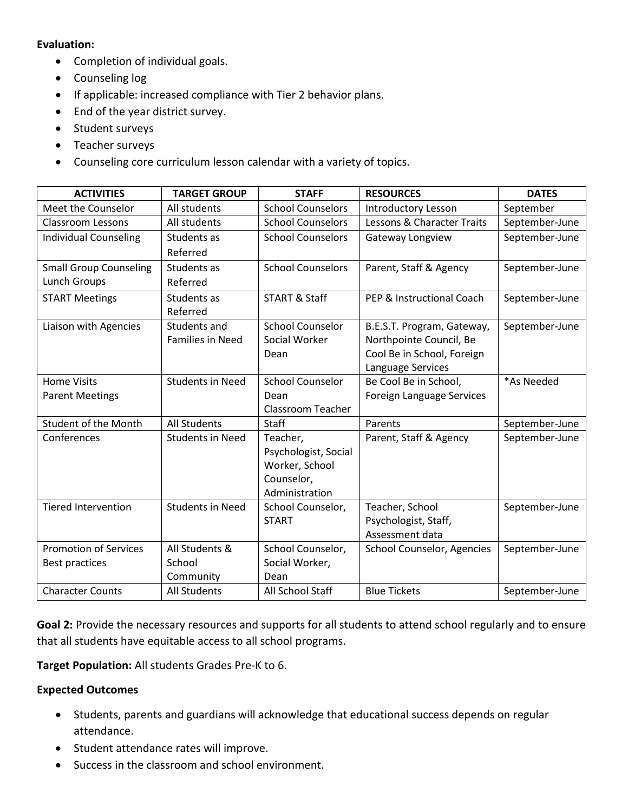#### **Evaluation:**

- Completion of individual goals.
- Counseling log
- If applicable: increased compliance with Tier 2 behavior plans.
- End of the year district survey.
- Student surveys
- Teacher surveys
- Counseling core curriculum lesson calendar with a variety of topics.

| <b>ACTIVITIES</b>             | <b>TARGET GROUP</b>     | <b>STAFF</b>             | <b>RESOURCES</b>           | <b>DATES</b>   |
|-------------------------------|-------------------------|--------------------------|----------------------------|----------------|
| Meet the Counselor            | All students            | <b>School Counselors</b> | <b>Introductory Lesson</b> | September      |
| <b>Classroom Lessons</b>      | All students            | <b>School Counselors</b> | Lessons & Character Traits | September-June |
| <b>Individual Counseling</b>  | Students as             | <b>School Counselors</b> | Gateway Longview           |                |
|                               | Referred                |                          |                            |                |
| <b>Small Group Counseling</b> | Students as             | <b>School Counselors</b> | Parent, Staff & Agency     | September-June |
| <b>Lunch Groups</b>           | Referred                |                          |                            |                |
| <b>START Meetings</b>         | Students as             | <b>START &amp; Staff</b> | PEP & Instructional Coach  | September-June |
|                               | Referred                |                          |                            |                |
| Liaison with Agencies         | Students and            | <b>School Counselor</b>  | B.E.S.T. Program, Gateway, | September-June |
|                               | <b>Families in Need</b> | Social Worker            | Northpointe Council, Be    |                |
|                               |                         | Dean                     | Cool Be in School, Foreign |                |
|                               |                         |                          | Language Services          |                |
| <b>Home Visits</b>            | <b>Students in Need</b> | <b>School Counselor</b>  | Be Cool Be in School,      | *As Needed     |
| <b>Parent Meetings</b>        |                         | Dean                     | Foreign Language Services  |                |
|                               |                         | <b>Classroom Teacher</b> |                            |                |
| Student of the Month          | <b>All Students</b>     | Staff                    | Parents                    | September-June |
| Conferences                   | <b>Students in Need</b> | Teacher,                 | Parent, Staff & Agency     | September-June |
|                               |                         | Psychologist, Social     |                            |                |
|                               |                         | Worker, School           |                            |                |
|                               |                         | Counselor,               |                            |                |
|                               |                         | Administration           |                            |                |
| <b>Tiered Intervention</b>    | <b>Students in Need</b> | School Counselor,        | Teacher, School            | September-June |
|                               |                         | <b>START</b>             | Psychologist, Staff,       |                |
|                               |                         |                          | Assessment data            |                |
| <b>Promotion of Services</b>  | All Students &          | School Counselor,        | School Counselor, Agencies | September-June |
| Best practices                | School                  | Social Worker,           |                            |                |
|                               | Community               | Dean                     |                            |                |
| <b>Character Counts</b>       | <b>All Students</b>     | All School Staff         | <b>Blue Tickets</b>        | September-June |

**Goal 2:** Provide the necessary resources and supports for all students to attend school regularly and to ensure that all students have equitable access to all school programs.

**Target Population:** All students Grades Pre-K to 6.

#### **Expected Outcomes**

- Students, parents and guardians will acknowledge that educational success depends on regular attendance.
- Student attendance rates will improve.
- Success in the classroom and school environment.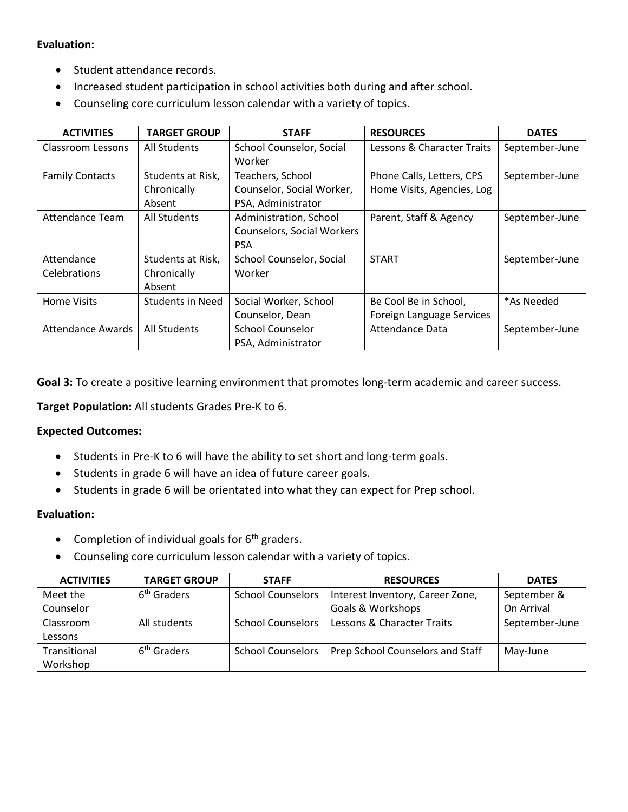#### **Evaluation:**

- Student attendance records.
- Increased student participation in school activities both during and after school.
- Counseling core curriculum lesson calendar with a variety of topics.

| <b>ACTIVITIES</b>        | <b>TARGET GROUP</b> | <b>STAFF</b>                      | <b>RESOURCES</b>           | <b>DATES</b>   |
|--------------------------|---------------------|-----------------------------------|----------------------------|----------------|
| Classroom Lessons        | All Students        | School Counselor, Social          | Lessons & Character Traits | September-June |
|                          |                     | Worker                            |                            |                |
| <b>Family Contacts</b>   | Students at Risk,   | Teachers, School                  | Phone Calls, Letters, CPS  | September-June |
|                          | Chronically         | Counselor, Social Worker,         | Home Visits, Agencies, Log |                |
|                          | Absent              | PSA, Administrator                |                            |                |
| Attendance Team          | All Students        | Administration, School            | Parent, Staff & Agency     | September-June |
|                          |                     | <b>Counselors, Social Workers</b> |                            |                |
|                          |                     | <b>PSA</b>                        |                            |                |
| Attendance               | Students at Risk,   | School Counselor, Social          | <b>START</b>               | September-June |
| Celebrations             | Chronically         | Worker                            |                            |                |
|                          | Absent              |                                   |                            |                |
| <b>Home Visits</b>       | Students in Need    | Social Worker, School             | Be Cool Be in School,      | *As Needed     |
|                          |                     | Counselor, Dean                   | Foreign Language Services  |                |
| <b>Attendance Awards</b> | All Students        | <b>School Counselor</b>           | <b>Attendance Data</b>     | September-June |
|                          |                     | PSA, Administrator                |                            |                |

**Goal 3:** To create a positive learning environment that promotes long-term academic and career success.

**Target Population:** All students Grades Pre-K to 6.

#### **Expected Outcomes:**

- Students in Pre-K to 6 will have the ability to set short and long-term goals.
- Students in grade 6 will have an idea of future career goals.
- Students in grade 6 will be orientated into what they can expect for Prep school.

#### **Evaluation:**

- Completion of individual goals for  $6<sup>th</sup>$  graders.
- Counseling core curriculum lesson calendar with a variety of topics.

| <b>ACTIVITIES</b> | <b>TARGET GROUP</b>     | <b>STAFF</b>             | <b>RESOURCES</b>                 | <b>DATES</b>   |
|-------------------|-------------------------|--------------------------|----------------------------------|----------------|
| Meet the          | 6 <sup>th</sup> Graders | <b>School Counselors</b> | Interest Inventory, Career Zone, | September &    |
| Counselor         |                         |                          | <b>Goals &amp; Workshops</b>     | On Arrival     |
| Classroom         | All students            | <b>School Counselors</b> | Lessons & Character Traits       | September-June |
| Lessons           |                         |                          |                                  |                |
| Transitional      | 6 <sup>th</sup> Graders | <b>School Counselors</b> | Prep School Counselors and Staff | May-June       |
| Workshop          |                         |                          |                                  |                |